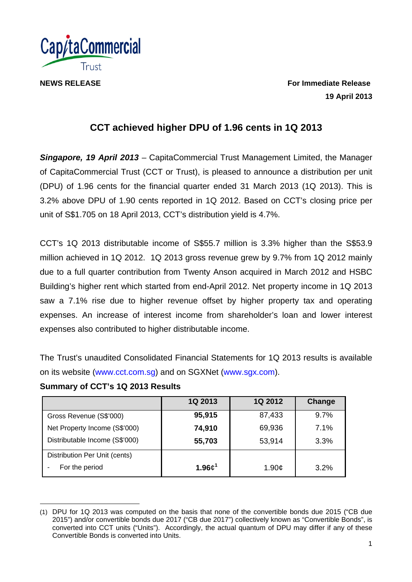

**NEWS RELEASE For Immediate Release 19 April 2013** 

# **CCT achieved higher DPU of 1.96 cents in 1Q 2013**

*Singapore, 19 April 2013* – CapitaCommercial Trust Management Limited, the Manager of CapitaCommercial Trust (CCT or Trust), is pleased to announce a distribution per unit (DPU) of 1.96 cents for the financial quarter ended 31 March 2013 (1Q 2013). This is 3.2% above DPU of 1.90 cents reported in 1Q 2012. Based on CCT's closing price per unit of S\$1.705 on 18 April 2013, CCT's distribution yield is 4.7%.

CCT's 1Q 2013 distributable income of S\$55.7 million is 3.3% higher than the S\$53.9 million achieved in 1Q 2012. 1Q 2013 gross revenue grew by 9.7% from 1Q 2012 mainly due to a full quarter contribution from Twenty Anson acquired in March 2012 and HSBC Building's higher rent which started from end-April 2012. Net property income in 1Q 2013 saw a 7.1% rise due to higher revenue offset by higher property tax and operating expenses. An increase of interest income from shareholder's loan and lower interest expenses also contributed to higher distributable income.

The Trust's unaudited Consolidated Financial Statements for 1Q 2013 results is available on its website (www.cct.com.sg) and on SGXNet (www.sgx.com).

# **Summary of CCT's 1Q 2013 Results**

|                                | 1Q 2013    | 1Q 2012             | Change |
|--------------------------------|------------|---------------------|--------|
| Gross Revenue (S\$'000)        | 95,915     | 87,433              | 9.7%   |
| Net Property Income (S\$'000)  | 74,910     | 69,936              | 7.1%   |
| Distributable Income (S\$'000) | 55,703     | 53,914              | 3.3%   |
| Distribution Per Unit (cents)  |            |                     |        |
| For the period                 | 1.96 $c^1$ | 1.90 $\mathfrak{c}$ | 3.2%   |

l (1) DPU for 1Q 2013 was computed on the basis that none of the convertible bonds due 2015 ("CB due 2015") and/or convertible bonds due 2017 ("CB due 2017") collectively known as "Convertible Bonds", is converted into CCT units ("Units"). Accordingly, the actual quantum of DPU may differ if any of these Convertible Bonds is converted into Units.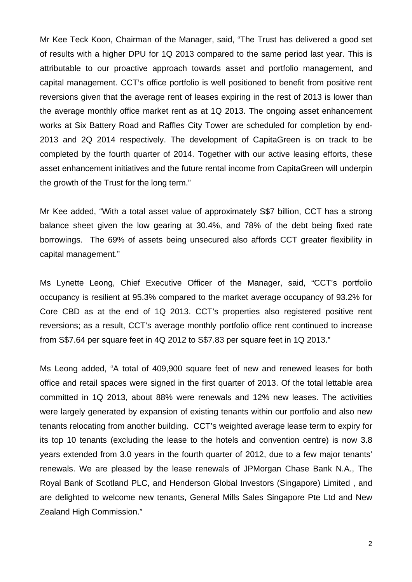Mr Kee Teck Koon, Chairman of the Manager, said, "The Trust has delivered a good set of results with a higher DPU for 1Q 2013 compared to the same period last year. This is attributable to our proactive approach towards asset and portfolio management, and capital management. CCT's office portfolio is well positioned to benefit from positive rent reversions given that the average rent of leases expiring in the rest of 2013 is lower than the average monthly office market rent as at 1Q 2013. The ongoing asset enhancement works at Six Battery Road and Raffles City Tower are scheduled for completion by end-2013 and 2Q 2014 respectively. The development of CapitaGreen is on track to be completed by the fourth quarter of 2014. Together with our active leasing efforts, these asset enhancement initiatives and the future rental income from CapitaGreen will underpin the growth of the Trust for the long term."

Mr Kee added, "With a total asset value of approximately S\$7 billion, CCT has a strong balance sheet given the low gearing at 30.4%, and 78% of the debt being fixed rate borrowings. The 69% of assets being unsecured also affords CCT greater flexibility in capital management."

Ms Lynette Leong, Chief Executive Officer of the Manager, said, "CCT's portfolio occupancy is resilient at 95.3% compared to the market average occupancy of 93.2% for Core CBD as at the end of 1Q 2013. CCT's properties also registered positive rent reversions; as a result, CCT's average monthly portfolio office rent continued to increase from S\$7.64 per square feet in 4Q 2012 to S\$7.83 per square feet in 1Q 2013."

Ms Leong added, "A total of 409,900 square feet of new and renewed leases for both office and retail spaces were signed in the first quarter of 2013. Of the total lettable area committed in 1Q 2013, about 88% were renewals and 12% new leases. The activities were largely generated by expansion of existing tenants within our portfolio and also new tenants relocating from another building. CCT's weighted average lease term to expiry for its top 10 tenants (excluding the lease to the hotels and convention centre) is now 3.8 years extended from 3.0 years in the fourth quarter of 2012, due to a few major tenants' renewals. We are pleased by the lease renewals of JPMorgan Chase Bank N.A., The Royal Bank of Scotland PLC, and Henderson Global Investors (Singapore) Limited , and are delighted to welcome new tenants, General Mills Sales Singapore Pte Ltd and New Zealand High Commission."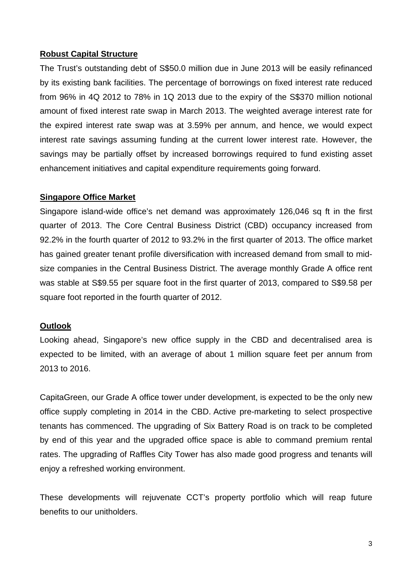### **Robust Capital Structure**

The Trust's outstanding debt of S\$50.0 million due in June 2013 will be easily refinanced by its existing bank facilities. The percentage of borrowings on fixed interest rate reduced from 96% in 4Q 2012 to 78% in 1Q 2013 due to the expiry of the S\$370 million notional amount of fixed interest rate swap in March 2013. The weighted average interest rate for the expired interest rate swap was at 3.59% per annum, and hence, we would expect interest rate savings assuming funding at the current lower interest rate. However, the savings may be partially offset by increased borrowings required to fund existing asset enhancement initiatives and capital expenditure requirements going forward.

# **Singapore Office Market**

Singapore island-wide office's net demand was approximately 126,046 sq ft in the first quarter of 2013. The Core Central Business District (CBD) occupancy increased from 92.2% in the fourth quarter of 2012 to 93.2% in the first quarter of 2013. The office market has gained greater tenant profile diversification with increased demand from small to midsize companies in the Central Business District. The average monthly Grade A office rent was stable at S\$9.55 per square foot in the first quarter of 2013, compared to S\$9.58 per square foot reported in the fourth quarter of 2012.

### **Outlook**

Looking ahead, Singapore's new office supply in the CBD and decentralised area is expected to be limited, with an average of about 1 million square feet per annum from 2013 to 2016.

CapitaGreen, our Grade A office tower under development, is expected to be the only new office supply completing in 2014 in the CBD. Active pre-marketing to select prospective tenants has commenced. The upgrading of Six Battery Road is on track to be completed by end of this year and the upgraded office space is able to command premium rental rates. The upgrading of Raffles City Tower has also made good progress and tenants will enjoy a refreshed working environment.

These developments will rejuvenate CCT's property portfolio which will reap future benefits to our unitholders.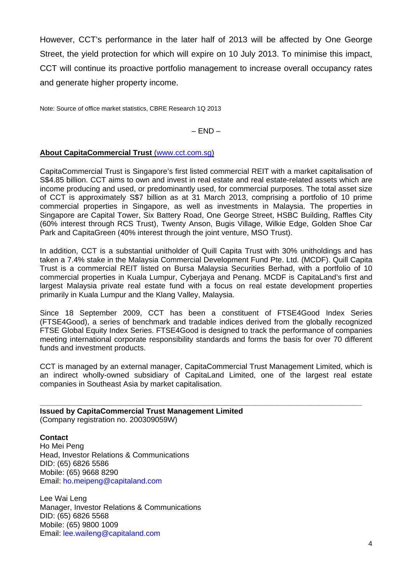However, CCT's performance in the later half of 2013 will be affected by One George Street, the yield protection for which will expire on 10 July 2013. To minimise this impact, CCT will continue its proactive portfolio management to increase overall occupancy rates and generate higher property income.

Note: Source of office market statistics, CBRE Research 1Q 2013

 $-$  END  $-$ 

### **About CapitaCommercial Trust** (www.cct.com.sg)

CapitaCommercial Trust is Singapore's first listed commercial REIT with a market capitalisation of S\$4.85 billion. CCT aims to own and invest in real estate and real estate-related assets which are income producing and used, or predominantly used, for commercial purposes. The total asset size of CCT is approximately S\$7 billion as at 31 March 2013, comprising a portfolio of 10 prime commercial properties in Singapore, as well as investments in Malaysia. The properties in Singapore are Capital Tower, Six Battery Road, One George Street, HSBC Building, Raffles City (60% interest through RCS Trust), Twenty Anson, Bugis Village, Wilkie Edge, Golden Shoe Car Park and CapitaGreen (40% interest through the joint venture, MSO Trust).

In addition, CCT is a substantial unitholder of Quill Capita Trust with 30% unitholdings and has taken a 7.4% stake in the Malaysia Commercial Development Fund Pte. Ltd. (MCDF). Quill Capita Trust is a commercial REIT listed on Bursa Malaysia Securities Berhad, with a portfolio of 10 commercial properties in Kuala Lumpur, Cyberjaya and Penang. MCDF is CapitaLand's first and largest Malaysia private real estate fund with a focus on real estate development properties primarily in Kuala Lumpur and the Klang Valley, Malaysia.

Since 18 September 2009, CCT has been a constituent of FTSE4Good Index Series (FTSE4Good), a series of benchmark and tradable indices derived from the globally recognized FTSE Global Equity Index Series. FTSE4Good is designed to track the performance of companies meeting international corporate responsibility standards and forms the basis for over 70 different funds and investment products.

CCT is managed by an external manager, CapitaCommercial Trust Management Limited, which is an indirect wholly-owned subsidiary of CapitaLand Limited, one of the largest real estate companies in Southeast Asia by market capitalisation.

#### **\_\_\_\_\_\_\_\_\_\_\_\_\_\_\_\_\_\_\_\_\_\_\_\_\_\_\_\_\_\_\_\_\_\_\_\_\_\_\_\_\_\_\_\_\_\_\_\_\_\_\_\_\_\_\_\_\_\_\_\_\_\_\_\_\_\_\_\_\_\_\_\_\_\_\_\_ Issued by CapitaCommercial Trust Management Limited**  (Company registration no. 200309059W)

**Contact**  Ho Mei Peng Head, Investor Relations & Communications DID: (65) 6826 5586 Mobile: (65) 9668 8290 Email: ho.meipeng@capitaland.com

Lee Wai Leng Manager, Investor Relations & Communications DID: (65) 6826 5568 Mobile: (65) 9800 1009 Email: lee.waileng@capitaland.com